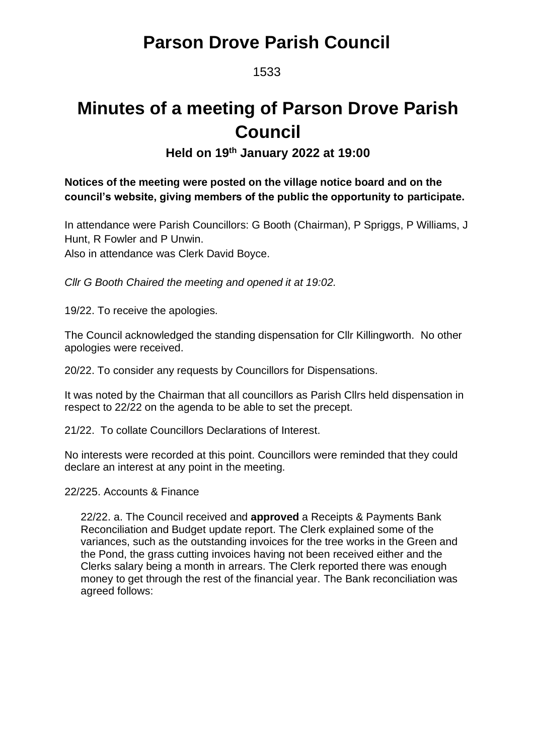### **Parson Drove Parish Council**

1533

# **Minutes of a meeting of Parson Drove Parish Council**

**Held on 19 th January 2022 at 19:00**

#### **Notices of the meeting were posted on the village notice board and on the council's website, giving members of the public the opportunity to participate.**

In attendance were Parish Councillors: G Booth (Chairman), P Spriggs, P Williams, J Hunt, R Fowler and P Unwin. Also in attendance was Clerk David Boyce.

*Cllr G Booth Chaired the meeting and opened it at 19:02.*

19/22. To receive the apologies.

The Council acknowledged the standing dispensation for Cllr Killingworth. No other apologies were received.

20/22. To consider any requests by Councillors for Dispensations.

It was noted by the Chairman that all councillors as Parish Cllrs held dispensation in respect to 22/22 on the agenda to be able to set the precept.

21/22. To collate Councillors Declarations of Interest.

No interests were recorded at this point. Councillors were reminded that they could declare an interest at any point in the meeting.

22/225. Accounts & Finance

22/22. a. The Council received and **approved** a Receipts & Payments Bank Reconciliation and Budget update report. The Clerk explained some of the variances, such as the outstanding invoices for the tree works in the Green and the Pond, the grass cutting invoices having not been received either and the Clerks salary being a month in arrears. The Clerk reported there was enough money to get through the rest of the financial year. The Bank reconciliation was agreed follows: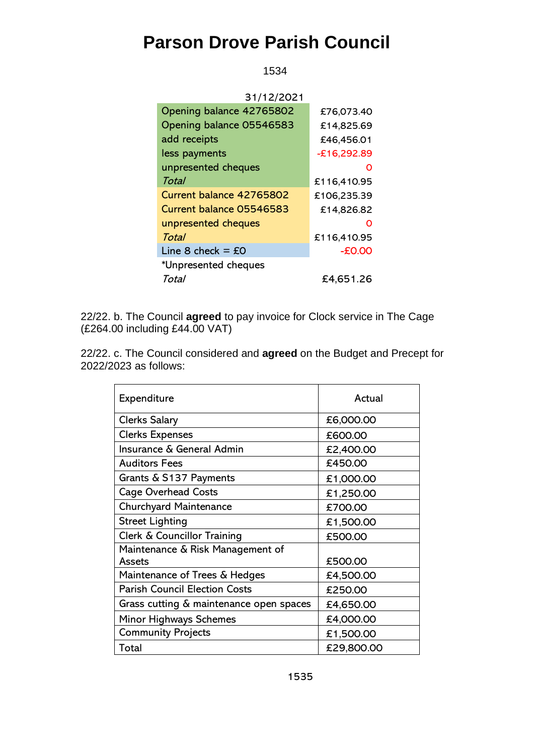### **Parson Drove Parish Council**

1534

| 31/12/2021                        |               |
|-----------------------------------|---------------|
| Opening balance 42765802          | £76,073.40    |
| Opening balance 05546583          | £14,825.69    |
| add receipts                      | £46,456.01    |
| less payments                     | $-£16,292.89$ |
| unpresented cheques               |               |
| Total                             | £116,410.95   |
| Current balance 42765802          | £106,235.39   |
| Current balance 05546583          | £14,826.82    |
| unpresented cheques               | O             |
| Total                             | £116,410.95   |
| Line 8 check = $\text{\pounds}$ 0 | $-E0.00$      |
| *Unpresented cheques              |               |
| Total                             | £4,651.26     |

22/22. b. The Council **agreed** to pay invoice for Clock service in The Cage (£264.00 including £44.00 VAT)

22/22. c. The Council considered and **agreed** on the Budget and Precept for 2022/2023 as follows:

| Expenditure                                | Actual     |
|--------------------------------------------|------------|
| <b>Clerks Salary</b>                       | £6,000.00  |
| <b>Clerks Expenses</b>                     | £600.00    |
| Insurance & General Admin                  | £2,400.00  |
| <b>Auditors Fees</b>                       | £450.00    |
| Grants & S137 Payments                     | £1,000.00  |
| <b>Cage Overhead Costs</b>                 | £1,250.00  |
| Churchyard Maintenance                     | £700.00    |
| <b>Street Lighting</b>                     | £1,500.00  |
| Clerk & Councillor Training                | £500.00    |
| Maintenance & Risk Management of<br>Assets | £500.00    |
| Maintenance of Trees & Hedges              | £4,500.00  |
| <b>Parish Council Election Costs</b>       | £250.00    |
| Grass cutting & maintenance open spaces    | £4,650.00  |
| <b>Minor Highways Schemes</b>              | £4,000.00  |
| <b>Community Projects</b>                  | £1,500.00  |
| Total                                      | £29,800.00 |